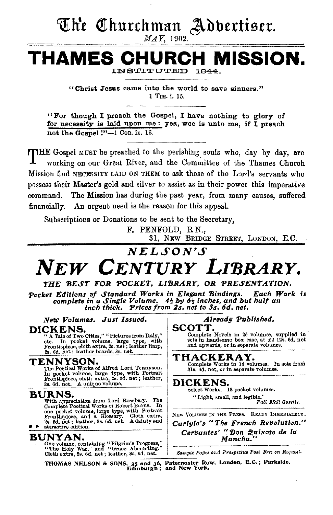# The Churchman Adbertiser.

MAY, 1902.

**THAMES CHURCH MISSION.**  INSTITUTED

> "Christ Jesus came into the world to save sinners." 1 Tm. i. 15.

"For though I preach the Gospel, I have nothing to glory of for necessity is laid upon me : yea, woe is unto me, if I preach not the Gospel !"-1 Con. ix. 16.

THE Gospel MUST be preached to the perishing souls who, day by day, are working on our Great River, and the Committee of the Thames Church Mission find NECESSITY LAID ON THEM to ask those of the Lord's servants who possess their Master's gold and silver to assist as in their power this imperative command. The Mission has during the past year, from many causes, suffered financially. An urgent need is the reason for this appeal.

Subscriptions or Donations to be sent to the Secretary,

F. PENFOLD, R.N.,

31, NEW BRIDGE STREET, LONDON, E.C.

# $NELSON'S$

# *NEW CENTURY LI'BRARY.*

### THE BEST FOR POCKET, LIBRARY, OR PRESENTATION.

Pocket Editions of Standard Works in Elegant Bindings. Each Work is *complete in a Single Volume.*  $4\frac{1}{2}$  *bg*  $6\frac{1}{2}$  *inches, and but half an inch thick. Prices from 2s. net to 3s. 6d. net.* 

*New Volumes. Just Issued. Already Published.* **COTT. Alleady Published. COTT.** 

DICKENS.<br>
"A Tale of Two Cities," "Pictures from Italy,"<br>
etc. In pocket volume, large type, with sets in 25 volumes, supplied in<br>
tec. In pocket volume, large type, with sets in landsome box case, at £2 12s. 6d. net<br>
Fron

### TENNYSON.

The Poetical Works of Alfred Lord Tennyson.<br>In pocket volume, large type, with Portrait Frontispiece, cloth extra, 2s. 6d. net ; leather, 3s. 6d. net. A unique volume.

### BURNS.

With appreciation from Lord Rosebery. The Complete Poetical Works of Robert Burns. In Complete Poetical Works of Robert Burns. In one pocket volume, large type, with Portrait Frontispiece, and a Glossary. Cloth extra, 2s. 6d. net ; leather, 3s. 6d. net. A dainty and I

## BUNYAN.

One volume, containing "Pilgrim's Progress," "The Holy War," and "Grace Abounding." Cioth extra, 2s. 6d. net; leather, Ss. 6d. net. *&mpre Pages and Prospeetu• Poat Free on Bequest.* 

THACKERAY.

Complete Works in 14 volumes. In sets from 31s, 6d. net, or in separate volumes.

## DICKENS.

Select Works. 13 pocket volumes. "Light, small, and legible." *Pall Mall (Jazette.* 

NEW VOLUMES IN THE PRESS. READY IMMEDIATBLY. *Carlyle's "The French Ref'Jolution."*  Cervantes' "Don Quixote de la *Mancha."* 

THOMAS NELSON & SONS, 35 and 36, Paternoster Row, London, E.C.; Parkslde, Edinburgh; and New York.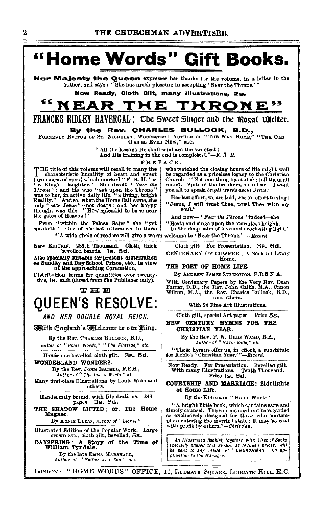

Handsome bevelled cloth gilt. 3s. 6d. WONDERLAND WONDERS.

By the Rev. JOHN ISABELL, F.E.S.,<br>Author of "The insect World," etc. Many first-class Illustrations by Louis Wain and others.

Handsomely bound, with Illustrations. 346<br>pages. 3s. 6d.

SHADOW LIFTED; or, The Home **THE** Magnet.

By ANNIE LUCAS, Author of "Leonie."

Illustrated Edition of the Popular Work. Large crown 8vo., cloth gilt, bevelled, 5s. DAYSPRING: A Story of the Time of William Tyndale.

By the late EMMA MARSHALL,<br>Author of "Mother and Son," etc.

For Presentation. Bevelled gilt. Tenth Thousand.

COURTSHIP AND MARRIAGE: Sidelights of Home Life.

By the EDITOR of "Home Words."

"A bright little book, which contains sage and timely counsel. The volume need not be regarded as exclusively designed for those who contemplate entering the married state; it may be read with profit by others."-Christian.

An Illustrated Booklet, together with Lista of Books specially offered this Season at reduced prices, will<br>be sent to any reader of "CHURCHMAN" on application to the Manager,

LONDON: "HOME WORDS" OFFICE, 11, LUDGATE SQUARE, LUDGATE HILL, E.C.

Now Ready.

"These hymns offer us, in effect, a substitute for Keble's 'Christian Year.'"-Revord.

With many Illustrations. Te<br>Price 1s. 6d.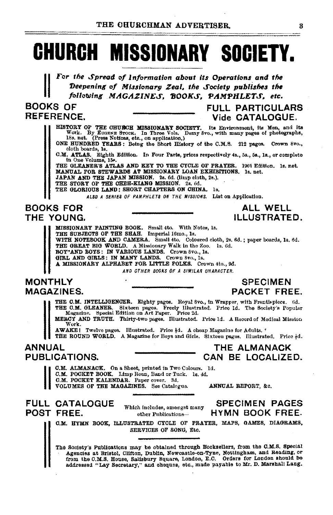# **CHURCH MISSIONARY SOCIETY.**

For the Spread of Information about its Operations and the Deepening of Missionary Zeal, the Society publishes the following MAGAZINES, BOOKS, PAMPHLETS, etc.

**BOOKS OF REFERENCE.** 

**FULL PARTICULARS** Vide CATALOGUE.

HISTORY OF THE CHURCH MISSIONARY SOCIETY. Its Environment, its Men, and its Work. By EUGENE STOCK. In Three Vols. Demy 8vo., with many pages of photographs, 188, net. (Press Notices, etc., on application.)

ONE HUNDRED YEARS: Being the Short History of the C.M.S. 212 pages. Crown 8vo., cloth boards, 1s.

C.M. ATLAS. Eighth Edition. In Four Parts, prices respectively 4s., 5s., 5s., 1s., or complete in One Volume, 15s.

THE GLEANER'S ATLAS AND KEY TO THE CYCLE OF PRAYER. 1901 Edition. 1s. net. MANUAL FOR STEWARDS AT MISSIONARY LOAN EXHIBITIONS. 1s. net. JAPAN AND THE JAPAN MISSION. 2s. 6d. (limp cloth, 2s.).

THE STORY OF THE CHEH-KIANG MISSION. 2s, 6d.

THE GLORIOUS LAND: SHORT CHAPTERS ON CHINA. 1s.

ALSO A SERIES OF PAMPHLETS ON THE MISSIONS. List on Application.

### **BOOKS FOR** THE YOUNG.

MISSIONARY PAINTING BOOK. Small 4to. With Notes, 1s. THE SUBJECTS OF THE SHAH. Imperial 16mo., 1s. WITH NOTEBOOK AND CAMERA. Small 4to. Coloured cloth, 2s. 6d.; paper boards, 1s. 6d. THE GREAT BIG WORLD. A Missionary Walk in the Zoo. 1s. 6d. BOY"AND BOYS: IN VARIOUS LANDS. Crown Svo., 1s.<br>GIRL AND GIRLS: IN MANY LANDS. Crown Svo., 1s. A MISSIONARY ALPHABET FOR LITTLE FOLKS. Crown 4to., 9d. AND OTHER BOOKS OF A SIMILAR CHARACTER.

**MONTHLY MAGAZINES.** 

### **SPECIMEN PACKET FREE.**

ALL WELL **ILLUSTRATED.** 

THE C.M. INTELLIGENCER. Eighty pages. Royal 8vo., in Wrapper, with Frontispiece. 6d. THE O.M. GLEANER. Sixteen pages. Freely Illustrated. Price Id. The Society's Popular Magazine. Special Edition on Art Paper. Price 2d.

MERCY AND TRUTH. Thirty-two pages. Illustrated. Price 1d. A Record of Modical Mission Work.

AWAKE! Twelve pages. Illustrated. Price  $\frac{1}{2}d$ . A cheap Magazine for Adults.<sup>4</sup><br>THE ROUND WORLD. A Magazine for Boys and Girls. Sixteen pages. Illustrated. Price  $\frac{1}{2}d$ .

### **ANNUAL PUBLICATIONS.**

C.M. ALMANACK. On a Sheet, printed in Two Colours. Id.

C.M. POCKET BOOK. Limp Roan, Band or Tuck. 1s. 4d.

**C.M. POCKET KALENDAR.** Paper cover. 3d.

VOLUMES OF THE MAGAZINES. See Catalogue.

ANNUAL REPORT, &c.

THE ALMANACK

CAN BE LOCALIZED.

**SPECIMEN PAGES** 

**HYMN BOOK FREE.** 

### **FULL CATALOGUE** POST FREE.

Which includes, amongst many other Publications-

C.M. HYMN BOOK, ILLUSTRATED CYCLE OF PRAYER, MAPS, GAMES, DIAGRAMS, SERVICES OF SONG, Etc.

The Society's Publications may be obtained through Booksellers, from the C.M.S. Special Agencies at Bristol, Clifton, Dublin, Newcastle-on-Tyne, Nottingham, and Reading, or from the O.M.S. House, Salisbury Square, London, E.C. Orders for London should be addressed "Lay Secretary," and cheques, etc., made payable to Mr. D. Marshall Lang.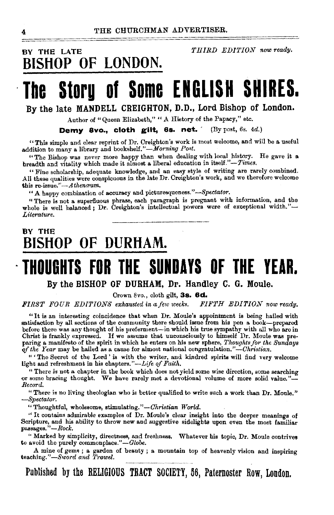# **BY THE LATE** *THIRD EDITION nowready.*  **BISHOP OF LONDON.**

# **The Storg of Some ENGLISH SHIRES.**

**By the late MANDELL CREIGHTON, D.D., Lord Bishop of London.** 

Author of "Queen Elizabeth," " A History of the Papacy," etc.

**Demy avo., cloth gilt, 6s. net.** · (By post, 6s. 4d.)

"This simple and clear reprint of Dr. Creighton's work is most welcome, and will be a useful addition to many a library and bookshelf."-Morning Post.

"The Bishop was never more happy than when dealing with local history. He gave it a breadth and vitality which made it almost a liberal education in *itsel£."-Times.* 

"Fine scholarship, adequate knowledge, and an easy style of writing are rarely combined. All these qualities were conspicuous in the late Dr. Creighton's work, and we therefore welcome this re-issue." *-A thenceum.* 

"A happy combination of accuracy and picturesqueness." $-Spectator$ .

" There is not a superfluous phrase, each paragraph is pregnant with information, and the whole is well balanced; Dr. Creighton's intellectual powers were of exceptional width."-*Literature.* 

# **BY THE BISHOP OF DURHAM.**

# **·THOUOHTS FOR THE SUNDAYS OF THE YEAR.**

**By the BISHOP OF DURHAM, Dr. Handley C. G. Moule.** 

Crown 8vo., cloth gilt, **3s. 6d.** 

*FIRST FOUR EDITIONS exhausted in a few weeks. FIP'TH EDITION now ready.* 

"It is an interesting coincidence that when Dr. Moule's appointment is being hailed with satisfaction by all sections of the community there should issue from his pen a book-prepared before there was any thought of his preferment-in which his true sympathy with all who are in Christ is frankly expressed. If we assume that unconsciously to himself Dr. Moule was preparing a manifesto of the spirit in which he enters on his new sphere, *Thoughts for the Sundays fifthe Year* may be bailed as a cause for almost national congratulation."-Ohristian.

" 'The Secret of the Lord ' is with the writer, and kindred spirits will find very welcome light and refreshment in his chapters."-Life of Faith.

"There is not a chapter in the book which does not yield some wise direction, some searching or some bracing thought. We have rarely met a devotional volume of more solid value."- *Record.* 

"There is no living theologian who is better qualified to write such a work than Dr. Moule." *-Spectator.* 

"Thoughtful, wholesome, stimulating."-Christian World.

 $\cdot$  It contains admirable examples of Dr. Moule's clear insight into the deeper meanings of Scripture, and his ability to throw new and suggestive sidelights upon even the most familiar passages."—Rock.

'' Marked by simplicity, directness, and freshness. Whatever his topic, Dr. Moule contrives to avoid the purely commonplace." $-Globe.$ 

A mine of gems; a garden of beauty; a mountain top of heavenly vision and inspiring teaching."-Sword and Trowel.

**Published by the RELIGIOUS TRACT SOCIETY, 66, Paternoster Row, London.**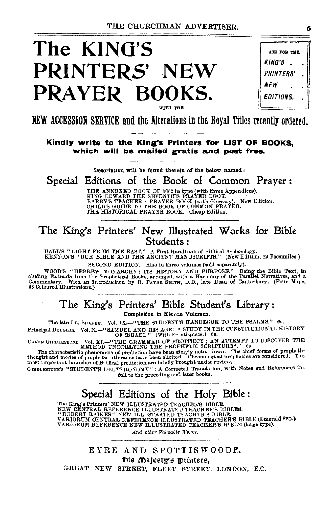# **The KING'S PRINTERS' NEW**  PRAYER BOOKS. **WITH** THE

|                         | <b>ASK FOR THE</b> |  |
|-------------------------|--------------------|--|
| KING'S                  |                    |  |
| <i><b>PRINTERS'</b></i> |                    |  |
| NEW                     |                    |  |
| <i><b>EDITIONS.</b></i> |                    |  |

NEW ACCESSION SERVICE and the Alterations in the Royal Titles recently ordered.

**Kindly write to the King's Printers 'for LIST OF BOOKS, which will be mailed gratis and post free.** 

De8crlption wlll be found therein of the below named :

Special Editions of the Book of Common Prayer:

THE ANNEXED BOOK OF 1662 in type (with three Appendices).<br>KING EDWARD THE SEVENTH'S PRAYER BOOK.<br>BARRY'S TEACHER'S PRAYER BOOK (with Glossary). New Edition.<br>CHILD'S GUIDE TO THE BOOK OF COMMON PRAYER.<br>THE HISTORICAL PRAYER

## The King's Printers' New Illustrated Works for Bible Students:

BALL'S "LIGHT FROM THE EAST." A First Handbook of Biblical Archrenlogy. KENYOY'S "OCR BIBLE AND THE ANCIENT MANUSCRIPTS." (New Edition, 29 Facsimiles.)

SECOND EDITION. Also in three volumes (sold separately).

WOOD'S "HEBREW MONARCHY: ITS HISTORY AND PURPOSE." Being the Bible Text, in<br>cluding Extracts from the Prophetical Books, arranged, with a Harmony of the Parallel Narratives, and a<br>Commentary. With an Introduction by R. PAY Commentary. With an I<sub>28</sub> Coloured Illustrations.)

# The King's Printers' Bible Student's Library:

Completion in Eleven Volumes.

The late Da. SHARPE. Vol. IX.-"THE STUDENT'S HANDBOOK TO THE PSALMS." Gs.

Principal DouGLAS. Vol. X.-" SAMUEL .AND HIS AGE: A STUDY IN TBE CONSTITUTIONAL HISTORY OF ISRAEL." (With Frontispiece.) 6s.

CANON GREDLESTONE. Vol. XI.—"THE GRAMMAR OF PROPHECY; AN ATTEMPT TO DISCOVER THE METHOD UNDERLYING THE PROPHETIC SCRIPTURES." 65<br>The characteristic phenomena of prodiction have been simply noted down. The chief forms of p

GIRDLESTONE'S "STUDENT'S DEUTERONOMY": A Corrected Translation, with Notes and References infull to the preceding and later books.

# Special Editions of the Holy Bible :

The King's Printer' NEW ILLUSTRATED TEACHER'S BIBLE.<br>NEW CENTRAL REFERENCE ILLUSTRATED TEACHER'S BIBLES.<br>"ROBERT RAIKES" NEW ILLUSTRATED TEACHER'S BIBLE, 'S BIBLE (Emerald 8vo.**)**<br>VARIORUM REFERENCE NEW ILLUSTRATED TEACHER

*And other Valuable Works.* 

EYRE AND SPOTTISWOODE, "bis *(Dajesty's* printers, GREAT NEW STREET, FLEET STREET, LONDON, E.C. 6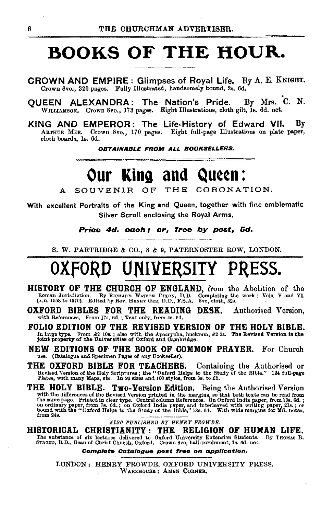# **BOOKS OF THE HOUR.**

CROWN AND EMPIRE: Glimpses of Royal Life. By A. E. KNIGHT. Crown 8vo., 320 pages. Fully Illustrated, handsomely bound, 2s. 6d.

QUEEN ALEXANDRA: The Nation's Pride. By Mrs. C. N. WILLIAMSON. Crown 8vo., 178 pages. Eight Illustrations, cloth gilt, 1s. 6d. net.

KING AND EMPEROR: The Life-History of Edward VII. By ARTHUR MEE. Crown 8vo., 170 pages. Eight full-pa.ge Illustrations on plate paper, cloth boards, la. 6d.

OBTAINABLE FROM ALL BOOKSELLERS.

# Our King and Queen:

SOUVENIR OF THE CORONATION.

With excellent Portraits of the King and Queen, together with fine emblematic Silver Scroll enclosing the Royal Arms.

Price 4d. each; or, free *by* post, 5d.

S. W. PARTRIDGE & CO., 8 & 9, PATERNOSTER ROW, LONDON.

# **OXfORD UNIVERSITY PRESS.**

- HISTORY OF THE CHURCH OF ENGLAND, from the Abolition of the Roman Jurisdiction. By RICHARD WATSON DIXON, D.D. Completing the work: Vols. V and VI. (A.D. 1558 to 1570). Edited by Rev. HENRY GEE, D.D., F.S.A. 8vo, cloth, 82s
- OXFORD BIBLES FOR THE READING DESK. Authorised Version, with References. From 17s. 6d. ; Text only, from 4s. 6d.

FOLIO EDITION OF THE REVISED VERSION OF THE HOLY BIBLE. In large type. From £2 10s. ; also with the Apocrypha, buckram, £2 2s. The Revised Version is the<br>joint property of the Universities of Oxford and Cambridge.

- NEW EDITIONS OF THE BOOK OF COMMON PRAYER. For Church use. (Cetalogue and Specimen Pages of any Bookseller).
- THE OXFORD BIBLE FOR TEACHERS. Containing the Authorised or Revised Version of the Holy Scriptures; the "Oxford Helps to the Study of the Bible." 124 full-page Plates, with many Maps, etc. In 20 sizes and 100 styles, from Ss. to £5.
- THE HOLY BIBLE. Two-Version Edition. Being the Authorised Version with the differences of the Revised Version printed in the margins, so that both texts can be read from the same page. Printed in clear type. Central column References. On Oxford India paper, from 10. 6d, ; on Oxford Indi

*ALSO PUBLISHED BY HENRY FROWDB.* 

HISTORICAL CHRISTIANITY : THE RELIGION OF HUMAN LIFE. The substance of six lectures delivered to Oxford University Extension Students. By THOMAS B.<br>STRONO, B.D., Dean of Christ Church, Oxford. Crown 8vo, half-parcbment, 1s. 6d. net.

Complete Catalogue post free on application.

LONDON: HENRY FROWDE, OXFORD UNIVERSITY PRESS. WAREHOUSE: AMEN CORNER,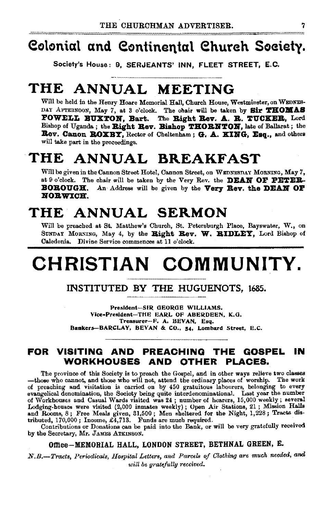# eotonial and eontinental ehureh Soeiety.

Society's House: 9. SERJEANTS' INN, FLEET STREET, E.C.

# THE ANNUAL MEETING

Will be held in the Henry Hoare Memorial Hall, Church House, Westminster, on WEDNES-DAY AFTERNOON, May 7, at 3 o'clock. The chair will be taken by Sir THOMAS FOWELL BUXTON, Bart. The Bight Rev. A. B. TUCKER, Lord Bishop of Uganda; the Bight Rev. Bishop THORNTON, late of Ballarat; the Bev. Canon BOXBY, Rector of Cheltenham; G. A. KING, Esq., and others will take part in the proceedings.

# THE ANNUAL BREAKFAST

Will be given in the Cannon Street Hotel, Cannon Street, on WEDNESDAY MoRNING, May *7,*  at 9 o'clock. The chair will be taken by the Very Rev. the **DEAN OF PETER**-BOROUGH. An Address will be given by the Very Rey. the DEAN OF NORWICH.

# THE ANNUAL SERMON

Will be preached at St. Matthew's Church, St. Petersburgh Place, Bayswater, W., on SUNDAY MORNING, May 4, by the Right Rev. W. RIDLEY, Lord Bishop of Caledonia.. Divine Service commences at 11 o'clock.

# CHRISTIAN COMMUNITY.

### INSTITUTED BY THE HUGUENOTS, l685.

President-SIR GEORGE WILLIAMS. Vice-President-THE EARL OF ABERDEEN, K.G. Treasurer-F. A. BEVAN, Esq. Bankers-BARCLAY, BEVAN & CO., 54, Lombard Street, E.C.

### FOR VISITING AND PREACHING THE GOSPEL IN WORKHOUSES AND OTHER PLACES.

The province of this Society is to preach the Gospel, and in other ways relieve two classes -those who cannot, and those who will not, attend the ordinary places of worship. The work of preaching and visitation is carried on by 450 gratuitous labourers, belonging to every evangelical denomination, the Society being quite interdenominational. Last year the number of Workhouses and Casual Wards visited was 24; number of hearers, 15,000 weekly; several Lodging-houses were visited (2,000 inmates weekly) ; Open Air Stations, 21 ; Mission Ralls and Rooms, 8; Free Meals given, 31,500; Men sheltered for the Night,  $1,228$ ; Tracts dis-<br>tributed,  $170,000$ ; Income, £4,713. Funds are much required.

Contributions or Donations can be paid into the Bank, or will be very gratefully received by the Secretary, Mr. JAMES ATKINSON.

### Office-MEMORIAL HALL, LONDON STREET, BETHNAL GREEN, E.

*N.B.-Tracts, Periodicals, Hospital Letters, and Parcels of Clothing are much needed, and will be gratefully received.*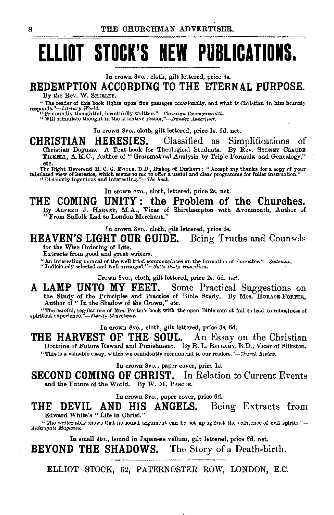# **ELLIOT STOCK'S NEW PUBLICATIONS.**

In crown 8vo., cloth, gilt lettered, price 6s.

# **REDEMPTION ACCORDING TO THE ETERNAL PURPOSE.**

By the Rev. W. SHIRLEY.<br>"The roader of this book lights upon fine passages occasionally, and what is Christian in him heartily "The reader of this book lights upon fine passages occasionally, and what is Christian in him heartily responds."-Literary *World.*<br>**"Profoundly thoughtful, beautifully written."**-Ckristian Commonwealth.

"Will stimulate thought in the attentive *re.uler,"-.Dundee Advertiser.* 

In crown 8vo., cloth, gilt lettered, price ls. 6d. net.

**CHRISTIAN HERESIES.** Classified as Simplifications of Christian Dogmas. A Text·book for Theological Students. By Rev. SYDNEY CLAUDE TICKELL, A.K.C., Author of " Grammatical Analysis by Triple Formula and Genealogy,"<br>etc.

etc.<br>The Right Reverend H. C. G. Moult, D.D., Bishop of Durham : "Accept my thanks for a copy of your<br>tabulated view of heresies, which seems to me to offer a useful and clear programme for fuller instruction."<br>"Distinctly

In crown Svo., cloth, lettered, price 2s. net.

# THE COMING UNITY: the Problem of the Churches.<br>By ALFRED J. HARVEY, M.A., Vicar of Shirehampton with Avonmouth, Author of

"From Suffolk Lad to London Merchant."

In crown 8vo., cloth, gilt lettered, price 2s.

**HEAVEN'S LIGHT OUR GUIDE.** Being Truths and Counsels

for the Wise Ordering of Life.

Extracts from good and great writers.

" An interesting manual of the well-tried commonplaces on the formation of character."-Scotsman. "Judiciously selected and well arranged."-Notts Daily Guardian.

Crown 8vo., cloth, gilt lettered, price 2s. 6d. net.

**A LAMP UNTO MY FEET.** Some Practical Suggestions on the Study of the Principles and Practice of Bible Study. By Mrs. HORACE-PORTER, Author of'' In the Shadow of the Crown," etc.

"The careful, regular use of Mrs. Porter's book with the open Bible cannot fail to lead to robustness of spiritual experience."— $F_{\alpha mily}$  Churchman.

In crown 8vo., cloth, gilt lettered, price 3s. 6d.

**THE HARVEST OF THE SOUL.** An Essay on the Christian Doctrine of Future Reward and Punishment. By R. L. BELLAMY, B.D., Vicar of Silkston. "This is a valuable essay, which we confidently recommend to our readers."-Cirnrch *Review.* 

In crown 8vo., paper cover, price Is.

**SECOND COMING OF CHRIST.** In Relation to Current Events and the Future of the World. By W. M. PASCOE.

In crown 8vo., paper cover, price 6d.

**THE DEVIL AND HIS ANGELS.** Being Extracts from Edward White's " Life in Christ."

"The writer ably shows that no sound argument can be set up against the existence of evil spirits." $-$ *.A.lder8qatt Magazine.* 

In small 4to., bound in Japanese vellum, gilt lettered, price 6d. net.

**BEYOND THE SHADOWS.** The Story of a Death-birth.

ELLIOT STOCK, 62, PATERNOSTER ROW, LONDON, E.O.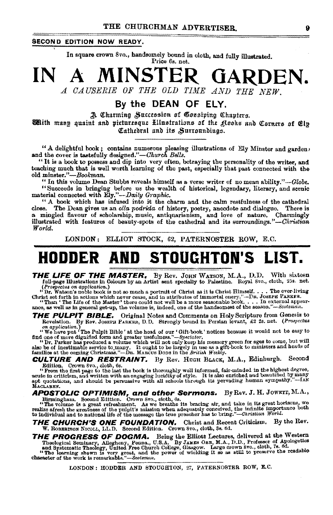#### **SECOND EDITION NOW READY.**

In square crown 8vo., handsomely bound in cloth, and fully illustrated. Price 6s. net.

# A MINSTER GARDEN. A CAUSERIE OF THE OLD TIME AND THE NEW.

By the DEAN OF ELY.

A Charming Succession of Gossiping Chapters. Whith many quaint and picturesque Hlustrations of the glooks and Corners of Elp Cathedral and its Surroundings.

"A delightful book; contains numerous pleasing illustrations of Ely Minster and garden) and the cover is tastefully designed."-Church Bells.

"It is a book to possess and dip into very often, betraying the personality of the writer, and teaching much that is well worth learning of the past, especially that past connected with the old minster."-Bookman.

" In this volume Dean Stubbs reveals himself as a verse writer of no mean ability."-Globe. "Succeeds in bringing before us the wealth of historical, legendary, literary, and scenic material connected with Ely."-Daily Graphic.

"A book which has infused into it the charm and the calm restfulness of the cathedral close. The Dean gives us an olla podrida of history, poetry, anecdote and dialogue. There is a mingled flavour of scholarship, music, antiquarianism, and love of nature. Charmingly illustrated with features of beauty-spots of the cathedral and its surroundings."-Christian World.

LONDON: ELLIOT STOCK, 62, PATERNOSTER ROW, E.C.

#### STOUCHTON'S HODDER AND LIST.

**THE LIFE OF THE MASTER.** By Rev. JOHN WATSON, M.A., D.D. With sixteen full-page Illustrations in Colours by an Artist sent specially to Palestine. Royal 8vo., cloth, 25s. net.

Turnage interactions. In an anti-section of Christ as it is Christmas in the over-living<br>
(Prospecties on application.)<br>
"Dr. Watson's noble book is not so much a portrait of Christ as it is Christ Himself.... The ever-liv

Original Notes and Comments on Holy Scripture from Genesis to THE PULPIT BIBLE. Revelation. By Rev. JOSEPH PARKER, D.D. Strongly bound in Persian levant, £2 2s. net. (Prospectus

We have put a finite Public at the head of our of Gift-book' notices because it would not be asy to find one of more dignified form and greater usefulness."—Spectator.

ind one of more digital or the and greater usualless. --spectator.<br>"Or, Parker has produced a volume which will not only keep his memory green for ages to come, but will<br>also be of incestimable service to many. It ought to

**CULTURE AND RESTRAINT.** By Rev. HUGH BLACK, M.A., Edinburgh. Second

Edition. Crown 8vo., cloth, 6s.<br>
"From the first page to the last the book is thoroughly well informed, fair-minded in the highest degree,<br>
"From the first page to the last the book is thoroughly well informed, fair-minded MACLAREN.

**APOSTOLIC OPTIMISM, and other Sermons.** By Rev. J. H. JOWETT, M.A., Birmingham. Second Edition. Crown 8vo., eioth, 6s.<br>its bracing air, and take in its great horizons, we were alize a<br>free volume is a great refreshment.

THE CHURCH'S ONE FOUNDATION. Christ and Recent Criticism. By the Rev. W. ROBERTSON NICOLL, LL.D. Second Edition. Crown 8vo., cloth, 8s. 6d.

**THE PROGRESS OF DOGMA.** Being the Elliott Lectures, delivered at the Western Theological Seminary, Allogheny, Penna., U.S.A. By JAMES ORR, M.A., D.D., Professor of Apologetics and Systematic Theology, United Free Church C

LONDON: HODDER AND STOUGHTON, 27, PATERNOSTER ROW, E.C.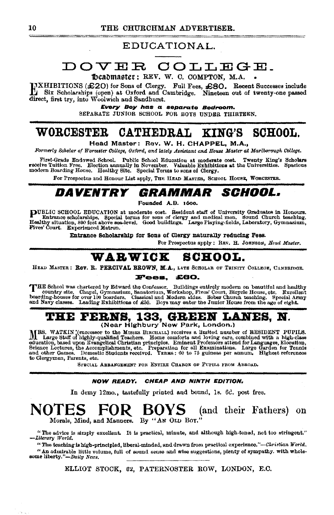### EDUCATIONAL.

# DOVER COLLEGE.

Deadmaster: REV. W. C. COMPTON, M.A.

HXHIBITIONS (£20) for Sons of Clergy. Full Fees, £80. Recent Successes include Six Scholarships (open) at Oxford and Cambridge. Nineteen out of twenty-one passed direct, first try, into Woolwich and Sandhurst.

Every Boy has a separate Bedroom.

SEPARATE JUNIOR SCHOOL FOR BOYS UNDER THIRTEEN.

#### CATHEDRAL WORCESTER SCHOOL. KING'S

Head Master: Rev. W. H. CHAPPEL, M.A.,

Formerly Scholar of Worcester College, Oxford, and lately Assistant and House Master at Mariborough College.

First-Grade Endowed School. Public School Education at moderate cost. Twenty King's Scholars receive Tuttion Free. Election annually in November. Valuable Exhibitions at the Universities. Spacious modern Boarding House. He

For Prospectus and Honour List apply, THE HEAD MASTER, SCHOOL HOUSE, WORCESTER.

#### *GRAMMAR SCHOOL.* DAVENTRY

Founded A.D. 1600.

PUBLIC SCHOOL EDUCATION at moderate cost. Resident staff of University Graduates in Honours.<br>Entrance scholarships. Special terms for sons of clergy and medical men. Sound Church teaching.<br>Healthy situation, 800 feet above Fives' Court. Experienced Matron.

Entrance Scholarship for Sons of Clergy naturally reducing Fees.

For Prospectus apply: REV. H. JOHNSON, Head Master.

# WARWICK SCHOOL.

HEAD MASTER: ROV. R. PERCIVAL BROWN, M.A., LATE SCHOLAR OF TRINITY COLLEGE, CAMBRIDGE.

#### Fees, £60.

THE School was chartered by Edward the Confessor. Buildings entirely modern on beautiful and healthy country site. Chapel, Gymnasium, Sanatorium, Workshop, Fives' Court, Bicycle House, etc. Excellent boarding-houses for ov and Navy classes. Leading Exhibitions of £50. Boys may enter the Junior House from the age of eight.

# THE FERNS, 133, GREEN LANES, N.<br>(Near Highbury New Park, London.)

MRS. WATKIN (successor to the MISSES BIRCHALL) receives a limited number of RESIDENT PUPILS.<br>Large Staff of highly-qualified Teachers. Home comforts and loving care, combined with a high-class<br>education, based upon Ewangel to Clergymen, Parents, etc.

SPECIAL ABRANGEMENT FOR ENTIRE CHARGE OF PUPILS FROM ABROAD.

#### NOW READY. CHEAP AND NINTH EDITION.

In demy 12mo., tastefully printed and bound, 1s. 6d. post free.

#### NOTES. FOR BOYS (and their Fathers) on Morals, Mind, and Manners. By "AN OLD BOY."

"The advice is simply excellent. It is practical, minute, and although high-toned, not too stringent." -Literary World.

"The teaching is high-principled, liberal-minded, and drawn from practical experience."-Ckristian World. "An admirable little volume, full of sound sense and wise suggestions, pienty of sympathy. with wholesome liberty."-Daily News.

ELLIOT STOCK, 62, PATERNOSTER ROW, LONDON, E.C.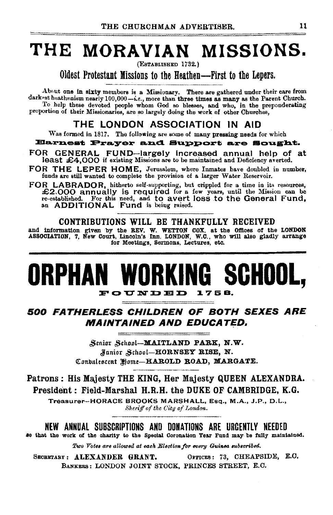# THE MORAVIAN MISSIONS.

(ESTABLISHED 1732.)

Oldest Protestant Missions to the Heathen--First to the Lepers.

About one in sixty members is a Missionary. There are gathered under their care from darkest heathenism nearly 100,000-i.e., more than three times as many as the Parent Church. To help these devoted people whom God so blesses, and who, in the preponderating proportion of their Missionaries, are so largely doing the work of other Churches,

### THE LONDON ASSOCIATION IN AID

Was formed in 1817. The following are some of many pressing needs for which

### **Earnest Prayer and Support are Sought.**

FOR GENERAL FUND-largely increased annual help of at least £4,000 if existing Missions are to be maintained and Deficiency averted.

FOR THE LEPER HOME, Jerusalem, where Inmates have doubled in number, funds are still wanted to complete the provision of a larger Water Reservoir.

FOR LABRADOR, hitherto self-supporting, but crippled for a time in its resources, +2.000 annually is required for a few years, until the Mission can be re-established. For this need, and to avert loss to the General Fund, an ADDITIONAL Fund is being raised.

### CONTRIBUTIONS WILL BE THANKFULLY RECEIVED

and information given by the REV. W. WETTON COX, at the Offices of the LONDON ASSOCIATION, 7, New Court, Lincoln's Inn, LONDON, W.C., who will also gladly arrange for Meetings, Sermons, Lectures, etc.

# ORPHAN WORKING SCHOOL. FOUNDED 1758.

500 FATHERLESS CHILDREN OF BOTH SEXES ARE **MAINTAINED AND EDUCATED.** 

> Senior School-MAITLAND PARK, N.W. Junior School-HORNSEY RISE, N. Conbalescent Home-HAROLD ROAD, MARGATE.

Patrons: His Majesty THE KING, Her Majesty QUEEN ALEXANDRA. President: Field-Marshal H.R.H. the DUKE OF CAMBRIDGE, K.G.

Treasurer-HORACE BROOKS MARSHALL, Esq., M.A., J.P., D.L., Sheriff of the City of London.

NEW ANNUAL SUBSCRIPTIONS AND DONATIONS ARE URGENTLY NEEDED

so that the work of the charity to the Special Coronation Year Fund may be fully maintained.

Two Votes are allowed at each Election for every Guinea subscribed.

OFFICES: 73, CHEAPSIDE, E.C. SECRETARY: ALEXANDER GRANT. BANKERS: LONDON JOINT STOCK, PRINCES STREET, E.C.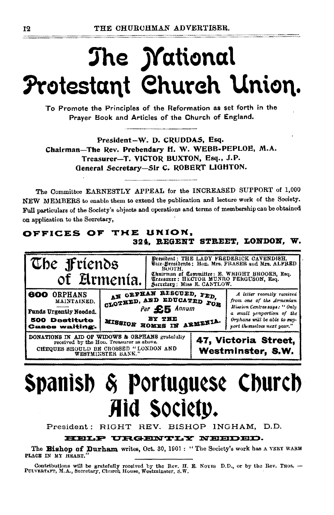# The *Mational* Protestant Church Union.

To Promote the Principles of the Reformation as set forth in the Prayer Book and Articles of the Church of England.

President-W. D. CRUDDAS, Esq. Chairman-The Rev. Prebendary H. W. WEBB-PEPLOE, M.A. Treasurer-T. VICTOR BUXTON, Esq., J.P. General Secretary-Sir C. ROBERT LIGHTON.

The Committee EARNESTLY APPEAL for the INCREASED SUPPORT of 1,000 NEW MEMBERS to enable them to extend the publication and lecture work of the Society. Full particulars of the Society's objects and operations and terms of membership can be obtained on application to the Secretary,

### OFFICES OF THE UNION, 324. REGENT STREET, LONDON, W.



# Spanish & Portuguese Church Aid Society.

President: RIGHT REV. BISHOP INGHAM, D.D.

HELP URGENTLY NEEDED.

The Bishop of Durham writes, Oct. 30, 1901: "The Society's work has a VERT WARM PLACE IN MY HEART."

Contributions will be gratefully received by the Rev. H. E. Noyes D.D., or by the Rev. THOS. -- PULVERTAFT, M.A., Secretary, Church House, Westminster, S.W.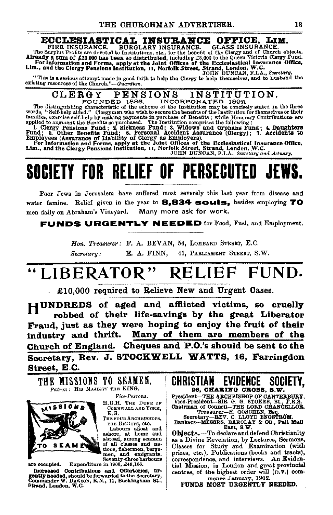**ECCLESIASTICAL INSURANCE OFFICE, LIM.**<br>FIRE INSURANCE. BURGLARY INSURANCE. GLASS INSURANCE.<br>The Surplus Profits are devoted to Institutions, stc., for the benefit of the Glergy and of Cally and or Cally and the Surplus Pr

"This is a serious attempt made In good faith to help the Clergy to help themselves, and to husband the existing resources of the Church."-*Guardian.* 

# CLERGY PENSIONS INSTITUTION. FOUNDED 1886. INCORPORATED 1892. The distinguishing characteristic of the scheme of the Institution may be concisely stated in the three

words, "Self-belp aided." Clergymen who wish to secure the benefits of the Institution for themselves or their<br>families, exercise self-help by making payments in purchase of Benefits; while Honorury Contributions are<br>appli

# SOCIETY FOR RELIEF OF PERSECUTED

Poor Jews in Jerusalem have suffered most severely this last year from disease and water famine. Relief given in the year to 8.834 souls, besides employing 70 men daily on Abraham's Vineyard. Many more ask for work.

**FUNDS URGENTLY NEEDED** for Food, Fuel, and Employment.

*Hon. Treasurer:* F. A. BEVAN, 54, LoMBARD STREET, E.C. *Secretary:* E. A. FINN, 41, PARLIAMENT STREET, s.w.

# ''LIBERATOR" RELIEF FUND.

£10,000 required to Relieve New and Urgent Cases.

HUNDREDS of aged and afflicted victims, so cruelly robbed of their life-saYings by the great Liberator Fraud, just as they were hoping to enjoy the fruit of their industry and thrift. Many of them are members of the Church of England. Cheques and P.O.'s should be sent to the Secretary, Rey. J. STOCKWELL WATTS, 16, Farringdon Street, E.C.

THE MISSIONS TO SEAMEN.



 $\mathit{Vice-Patrons:}$ H.R.H. THE DUKE OF Cobnwall and York,<br>K.G.

THE FOUR ARCHBISHOPS.

THE BISHOPS, etc.<br>Labours aftoat and<br>ashore, at home and<br>abroad, among seamen of all classes and na-<br>tions, fishermen, barge-<br>men, and emigrants,<br>Seventy-three harbours are occupied. Expenditure in 1900, £49,166.

Increased Contributions and Offertories, urgently needed, should be forwarded to the Secretary, Commander W. DA'r.SON, R.N., 11, Buckingbam St., Strand, London, W.O.

CHRISTIAN EVIDENCE SOCIETY, 26, CHARING CROSS, S.W.

President-THE ARCHBISHOP OF CANTERBURY. ot~~~:si::~~-;;!!~-~H~· ~~~~BJal'k~i. Treasurer-H. GOSCHEN, Esq. Seoreta.ry-&BV. 0. LLOYD ENGSTIWM.

Bankers--MESSRS. BARCLAY & CO., Pall Mall ::<br>East, S.W.

Objects. --To declare and defend Christianity<br>as a Divine Revelation, by Lectures, Sermons,<br>Classes for Study and Examination (with<br>prizes, etc.), Publications (books and tracts), correspondence, and interviews. An Evidential Mission, in London and great provincial centres, of the highest order will (D. v.) com-<br>mence January, 1902.

FUNDS MOST URGENTLY NEEDED.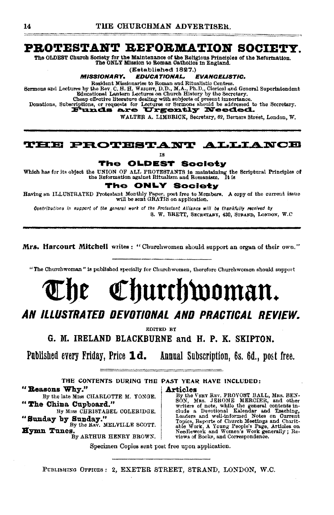## PROTESTANT REFORMATION SOCIETY.

The ONLY Mission to Roman Catholics in England.

(Established 1827.)

#### **MISSIONARY. EDUCATIONAL. EVANGELISTIC.**

Resident Missionaries to Roman and Ritualistic Centres.<br>
Resident Missionaries to Roman and Ritualistic Centres.<br>
Bende by the Rev. C. H. H. WEIGHT, D.D., M.A., Ph.D., Clerical and General Superintendent<br>
Educational Lante

Equipament Lantern Lectures on Charles Hanger of the Secretary.<br>Charles of the subsection dealing with subjects of present importance.<br>Donations, Subscriptions, or requests for Lectures or Sermons should be addressed to th

WALTER A. LIMBRICK. Secretary. 62. Berners Street. London. W.

### **THE PROTESTANT ALLIANCE**

**IS** 

#### The **OLDEST Society**

Which has for its object the UNION OF ALL PROTESTANTS in maintaining the Scriptural Principles of the Reformation against Ritualism and Romanism. It is

rhe ONLY **Society** 

Having an ILLUSTRATED Protestant Monthly Paper, poet free to Members. A copy of the current issue will be sent GRATIS on application.

Contributions in support of the general work of the Protestant Alliance will be thankfully received by S. W. BRETT, SECRETARY, 430, STRAND, LONDON, W.C.

Mrs. Harcourt Mitchell writes: "Churchwomen should support an organ of their own."

"The Churchwoman" is published specially for Churchwomen, therefore Churchwomen should support

# Churchwoman.

# ÅN ILLUSTRATED DEVOTIONAL AND PRACTICAL REVIEW.

EDITED BY

G. M. IRELAND BLACKBURNE and H. P. K. SKIPTON.

Published every Friday, Price 1d. Annual Subscription, 6s. 6d., post free.

THE CONTENTS DURING THE PAST YEAR HAVE INCLUDED: "Reasons Why." **Articles** 

By the late MIss CHARLOTTE M. YONGE. "The China Cupboard."

By MISS CHRISTABEL COLERIDGE. "Sunday by Sunday."<br>By the Ray. MELVILLE SCOTT.

Hymn Tunes.

By ARTHUR HENRY BROWN.

**TELCES**<br>
By the VERY REV. PROVOST BALL, MRs. BEN-<br>
BON, MRS. JEROME MERCIER, and other<br>
writers of note, while the general contents in-<br>
clude a Devotional Kalendar and Teaching,<br>
Leaders and well-informed Notes on Curren views of Books, and Correspondence.

Specimen Copies sent post free upon application.

PUBLISHING OFFICES: 2, EXETER STREET, STRAND, LONDON, W.C.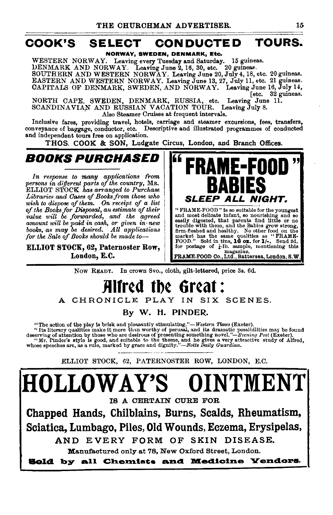# COOK'S SELECT CONDUCTED TOURS.

NORWAY, SWEDEN, DENMARK, Etc.

WESTERN NORWAY. Leaving every Tuesday and Saturday. 15 guineas.<br>ALLO NORWAY. Leaving every Tuesday and Saturday. 15 guineas.  $DENMARK AND NORMAY.$  Leaving June 2, 16, 30, etc. SOUTHERN AND WESTERN NORWAY. Leaving June 20, July4, 18, etc. 20 guineas. EASTERN AND WESTERN NORWAY. Leaving June 13, 27, July 11, etc. 21 guineas. CAPITALS OF DENMARK, SWEDEN, AND NORWAY. Leaving June 16, July 14,

[etc. 32 guineas.<br>Leaving June 11. NORTH CAPE, SWEDEN, DENMARK, RUSSIA, etc. SCANDINAVIAN AND RUSSIAN VACATION TOUR. Leaving July 8. Also Steamer Cruises at frequent intervals.

Inclusive fares, providing travel, hotels, carriage and steamer excursions, fees, transfers, conveyance of baggage, conductor, etc. Descriptive and illustrated programmes of conducted and independent tours free on application.

THOS. COOK & SON, Ludgate Circus, London, and Branch Offices.

BOOKS PURCHASED

*In response to many applications from persons in different parts of the country,* MR. ELLIOT STOCK *has arranged to Purchase Libraries and Oases of Books from those who wish to dispose of them. On receipt of a list*  of the Books for Disposal, an estimate of their *value ·will be forwarded, and the agreed amount will be paid in cash, or given in· new books, as may be desired. All applications for the Sale of Books should be made to-*

ELLIOT STOCK, 62, Paternoster Row, London, E.C.



Now READY. In crown Svo., cloth, gilt-lettered, price 3s. 6d.

# Alfred the Great : A CHRONICLE PLAY IN SIX SCENES.

By W. H. PINDER..

"The action of the play is brisk and pleasantly stimulating."—Western Times (Exeter).<br>"Its literary qualities make it more than worthy of perusal, and its dramatic possibilities may be found<br>deserving of attention by thos

ELLIOT STOCK, 62, PATERNOSTER ROW, LONDON, E.C.